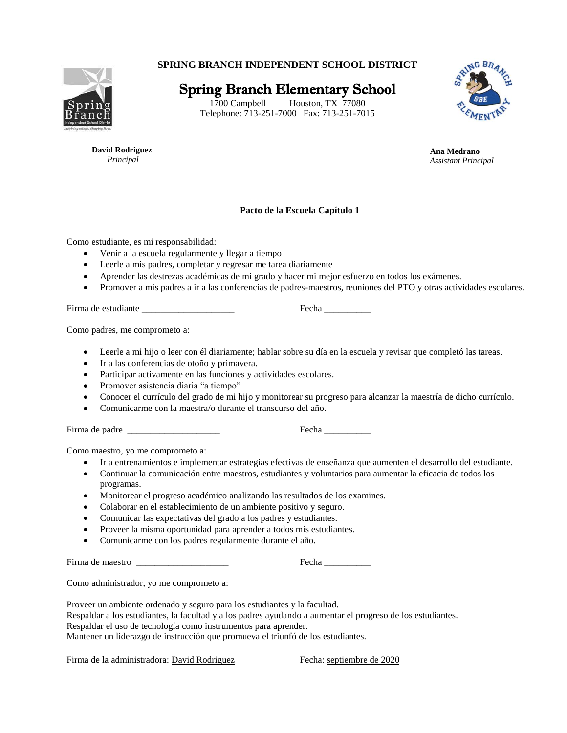**SPRING BRANCH INDEPENDENT SCHOOL DISTRICT**



Spring Branch Elementary School

1700 Campbell Houston, TX 77080 Telephone: 713-251-7000 Fax: 713-251-7015



 **David Rodriguez**  *Principal*

**Ana Medrano** *Assistant Principal*

## **Pacto de la Escuela Capítulo 1**

Como estudiante, es mi responsabilidad:

- Venir a la escuela regularmente y llegar a tiempo
- Leerle a mis padres, completar y regresar me tarea diariamente
- Aprender las destrezas académicas de mi grado y hacer mi mejor esfuerzo en todos los exámenes.
- Promover a mis padres a ir a las conferencias de padres-maestros, reuniones del PTO y otras actividades escolares.

Firma de estudiante \_\_\_\_\_\_\_\_\_\_\_\_\_\_\_\_\_\_\_\_ Fecha \_\_\_\_\_\_\_\_\_\_

Como padres, me comprometo a:

- Leerle a mi hijo o leer con él diariamente; hablar sobre su día en la escuela y revisar que completó las tareas.
- Ir a las conferencias de otoño y primavera.
- Participar activamente en las funciones y actividades escolares.
- Promover asistencia diaria "a tiempo"
- Conocer el currículo del grado de mi hijo y monitorear su progreso para alcanzar la maestría de dicho currículo.
- Comunicarme con la maestra/o durante el transcurso del año.

Firma de padre  $\Box$  Fecha  $\Box$  Fecha  $\Box$  Fecha  $\Box$  Fecha  $\Box$  Fecha  $\Box$  Fecha  $\Box$  Fecha  $\Box$  Fecha  $\Box$  Fecha  $\Box$  Fecha  $\Box$  Fecha  $\Box$  Fecha  $\Box$  Fecha  $\Box$  Fecha  $\Box$  Fecha  $\Box$  Fecha  $\Box$  Fecha  $\Box$  Fecha  $\Box$  Fech

Como maestro, yo me comprometo a:

- Ir a entrenamientos e implementar estrategias efectivas de enseñanza que aumenten el desarrollo del estudiante.
- Continuar la comunicación entre maestros, estudiantes y voluntarios para aumentar la eficacia de todos los programas.
- Monitorear el progreso académico analizando las resultados de los examines.
- Colaborar en el establecimiento de un ambiente positivo y seguro.
- Comunicar las expectativas del grado a los padres y estudiantes.
- Proveer la misma oportunidad para aprender a todos mis estudiantes.
- Comunicarme con los padres regularmente durante el año.

Firma de maestro \_\_\_\_\_\_\_\_\_\_\_\_\_\_\_\_\_\_\_\_ Fecha \_\_\_\_\_\_\_\_\_\_

Como administrador, yo me comprometo a:

Proveer un ambiente ordenado y seguro para los estudiantes y la facultad.

Respaldar a los estudiantes, la facultad y a los padres ayudando a aumentar el progreso de los estudiantes.

Respaldar el uso de tecnología como instrumentos para aprender.

Mantener un liderazgo de instrucción que promueva el triunfó de los estudiantes.

Firma de la administradora: David Rodriguez Fecha: septiembre de 2020